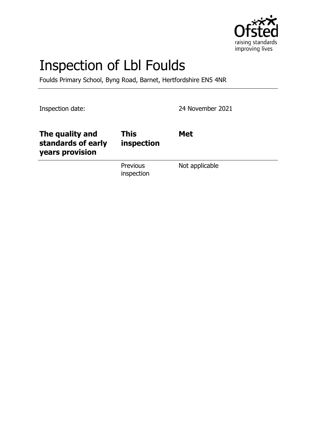

# Inspection of Lbl Foulds

Foulds Primary School, Byng Road, Barnet, Hertfordshire EN5 4NR

Inspection date: 2021

| The quality and<br>standards of early<br>years provision | <b>This</b><br>inspection     | <b>Met</b>     |
|----------------------------------------------------------|-------------------------------|----------------|
|                                                          | <b>Previous</b><br>inspection | Not applicable |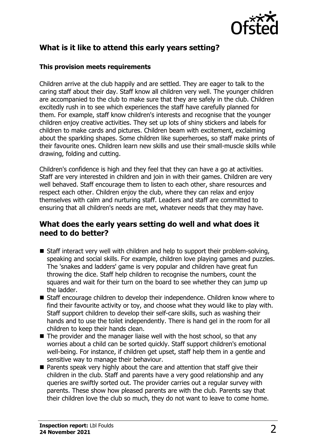

# **What is it like to attend this early years setting?**

#### **This provision meets requirements**

Children arrive at the club happily and are settled. They are eager to talk to the caring staff about their day. Staff know all children very well. The younger children are accompanied to the club to make sure that they are safely in the club. Children excitedly rush in to see which experiences the staff have carefully planned for them. For example, staff know children's interests and recognise that the younger children enjoy creative activities. They set up lots of shiny stickers and labels for children to make cards and pictures. Children beam with excitement, exclaiming about the sparkling shapes. Some children like superheroes, so staff make prints of their favourite ones. Children learn new skills and use their small-muscle skills while drawing, folding and cutting.

Children's confidence is high and they feel that they can have a go at activities. Staff are very interested in children and join in with their games. Children are very well behaved. Staff encourage them to listen to each other, share resources and respect each other. Children enjoy the club, where they can relax and enjoy themselves with calm and nurturing staff. Leaders and staff are committed to ensuring that all children's needs are met, whatever needs that they may have.

## **What does the early years setting do well and what does it need to do better?**

- $\blacksquare$  Staff interact very well with children and help to support their problem-solving, speaking and social skills. For example, children love playing games and puzzles. The 'snakes and ladders' game is very popular and children have great fun throwing the dice. Staff help children to recognise the numbers, count the squares and wait for their turn on the board to see whether they can jump up the ladder.
- Staff encourage children to develop their independence. Children know where to find their favourite activity or toy, and choose what they would like to play with. Staff support children to develop their self-care skills, such as washing their hands and to use the toilet independently. There is hand gel in the room for all children to keep their hands clean.
- $\blacksquare$  The provider and the manager liaise well with the host school, so that any worries about a child can be sorted quickly. Staff support children's emotional well-being. For instance, if children get upset, staff help them in a gentle and sensitive way to manage their behaviour.
- $\blacksquare$  Parents speak very highly about the care and attention that staff give their children in the club. Staff and parents have a very good relationship and any queries are swiftly sorted out. The provider carries out a regular survey with parents. These show how pleased parents are with the club. Parents say that their children love the club so much, they do not want to leave to come home.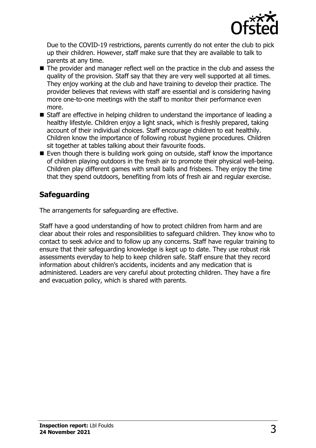

Due to the COVID-19 restrictions, parents currently do not enter the club to pick up their children. However, staff make sure that they are available to talk to parents at any time.

- $\blacksquare$  The provider and manager reflect well on the practice in the club and assess the quality of the provision. Staff say that they are very well supported at all times. They enjoy working at the club and have training to develop their practice. The provider believes that reviews with staff are essential and is considering having more one-to-one meetings with the staff to monitor their performance even more.
- $\blacksquare$  Staff are effective in helping children to understand the importance of leading a healthy lifestyle. Children enjoy a light snack, which is freshly prepared, taking account of their individual choices. Staff encourage children to eat healthily. Children know the importance of following robust hygiene procedures. Children sit together at tables talking about their favourite foods.
- $\blacksquare$  Even though there is building work going on outside, staff know the importance of children playing outdoors in the fresh air to promote their physical well-being. Children play different games with small balls and frisbees. They enjoy the time that they spend outdoors, benefiting from lots of fresh air and regular exercise.

# **Safeguarding**

The arrangements for safeguarding are effective.

Staff have a good understanding of how to protect children from harm and are clear about their roles and responsibilities to safeguard children. They know who to contact to seek advice and to follow up any concerns. Staff have regular training to ensure that their safeguarding knowledge is kept up to date. They use robust risk assessments everyday to help to keep children safe. Staff ensure that they record information about children's accidents, incidents and any medication that is administered. Leaders are very careful about protecting children. They have a fire and evacuation policy, which is shared with parents.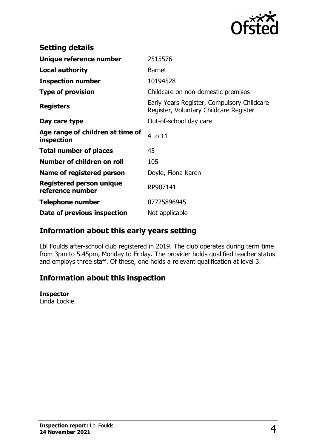

| <b>Setting details</b>                         |                                                                                      |
|------------------------------------------------|--------------------------------------------------------------------------------------|
| Unique reference number                        | 2515576                                                                              |
| <b>Local authority</b>                         | <b>Barnet</b>                                                                        |
| <b>Inspection number</b>                       | 10194528                                                                             |
| <b>Type of provision</b>                       | Childcare on non-domestic premises                                                   |
| <b>Registers</b>                               | Early Years Register, Compulsory Childcare<br>Register, Voluntary Childcare Register |
| Day care type                                  | Out-of-school day care                                                               |
| Age range of children at time of<br>inspection | 4 to 11                                                                              |
| <b>Total number of places</b>                  | 45                                                                                   |
| Number of children on roll                     | 105                                                                                  |
| Name of registered person                      | Doyle, Fiona Karen                                                                   |
| Registered person unique<br>reference number   | RP907141                                                                             |
| <b>Telephone number</b>                        | 07725896945                                                                          |
| Date of previous inspection                    | Not applicable                                                                       |

## **Information about this early years setting**

Lbl Foulds after-school club registered in 2019. The club operates during term time from 3pm to 5.45pm, Monday to Friday. The provider holds qualified teacher status and employs three staff. Of these, one holds a relevant qualification at level 3.

## **Information about this inspection**

#### **Inspector**

Linda Lockie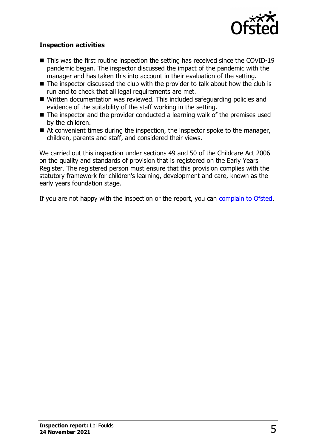

#### **Inspection activities**

- $\blacksquare$  This was the first routine inspection the setting has received since the COVID-19 pandemic began. The inspector discussed the impact of the pandemic with the manager and has taken this into account in their evaluation of the setting.
- $\blacksquare$  The inspector discussed the club with the provider to talk about how the club is run and to check that all legal requirements are met.
- Written documentation was reviewed. This included safeguarding policies and evidence of the suitability of the staff working in the setting.
- $\blacksquare$  The inspector and the provider conducted a learning walk of the premises used by the children.
- $\blacksquare$  At convenient times during the inspection, the inspector spoke to the manager, children, parents and staff, and considered their views.

We carried out this inspection under sections 49 and 50 of the Childcare Act 2006 on the quality and standards of provision that is registered on the Early Years Register. The registered person must ensure that this provision complies with the statutory framework for children's learning, development and care, known as the early years foundation stage.

If you are not happy with the inspection or the report, you can [complain to Ofsted](http://www.gov.uk/complain-ofsted-report).